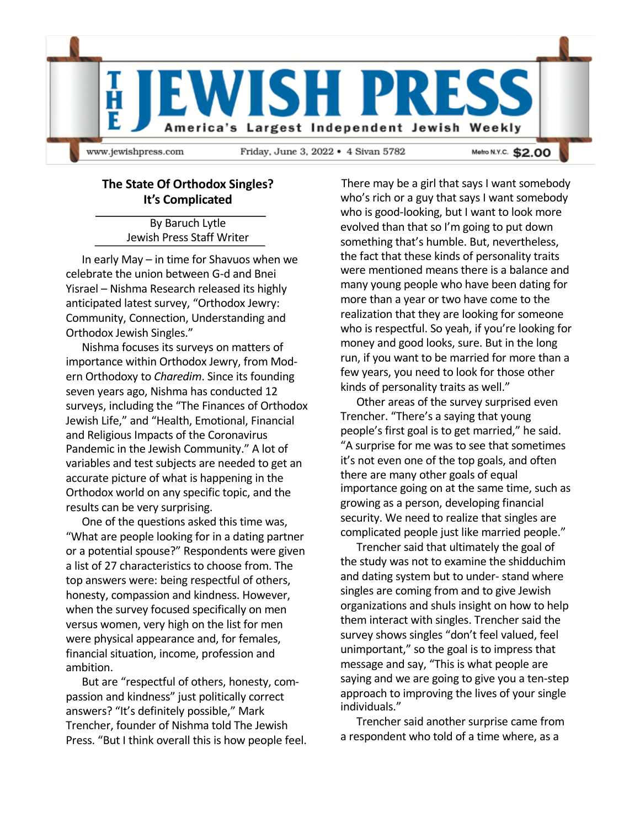

## **The State Of Orthodox Singles? It's Complicated**

By Baruch Lytle Jewish Press Staff Writer

In early May – in time for Shavuos when we celebrate the union between G-d and Bnei Yisrael – Nishma Research released its highly anticipated latest survey, "Orthodox Jewry: Community, Connection, Understanding and Orthodox Jewish Singles."

Nishma focuses its surveys on matters of importance within Orthodox Jewry, from Modern Orthodoxy to *Charedim*. Since its founding seven years ago, Nishma has conducted 12 surveys, including the "The Finances of Orthodox Jewish Life," and "Health, Emotional, Financial and Religious Impacts of the Coronavirus Pandemic in the Jewish Community." A lot of variables and test subjects are needed to get an accurate picture of what is happening in the Orthodox world on any specific topic, and the results can be very surprising.

One of the questions asked this time was, "What are people looking for in a dating partner or a potential spouse?" Respondents were given a list of 27 characteristics to choose from. The top answers were: being respectful of others, honesty, compassion and kindness. However, when the survey focused specifically on men versus women, very high on the list for men were physical appearance and, for females, financial situation, income, profession and ambition.

But are "respectful of others, honesty, compassion and kindness" just politically correct answers? "It's definitely possible," Mark Trencher, founder of Nishma told The Jewish Press. "But I think overall this is how people feel.

There may be a girl that says I want somebody who's rich or a guy that says I want somebody who is good-looking, but I want to look more evolved than that so I'm going to put down something that's humble. But, nevertheless, the fact that these kinds of personality traits were mentioned means there is a balance and many young people who have been dating for more than a year or two have come to the realization that they are looking for someone who is respectful. So yeah, if you're looking for money and good looks, sure. But in the long run, if you want to be married for more than a few years, you need to look for those other kinds of personality traits as well."

Other areas of the survey surprised even Trencher. "There's a saying that young people's first goal is to get married," he said. "A surprise for me was to see that sometimes it's not even one of the top goals, and often there are many other goals of equal importance going on at the same time, such as growing as a person, developing financial security. We need to realize that singles are complicated people just like married people."

Trencher said that ultimately the goal of the study was not to examine the shidduchim and dating system but to under- stand where singles are coming from and to give Jewish organizations and shuls insight on how to help them interact with singles. Trencher said the survey shows singles "don't feel valued, feel unimportant," so the goal is to impress that message and say, "This is what people are saying and we are going to give you a ten-step approach to improving the lives of your single individuals."

Trencher said another surprise came from a respondent who told of a time where, as a